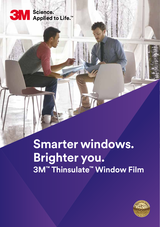# SM Science.<br>SM Applied to Life.™

## **Smarter windows. Brighter you. 3M™ Thinsulate™ Window Film**

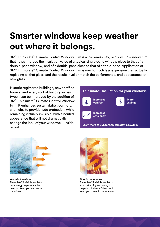### **Smarter windows keep weather out where it belongs.**

3M™ Thinsulate™ Climate Control Window Film is a low emissivity, or "Low E," window film that helps improve the insulation value of a typical single-pane window close to that of a double-pane window, and of a double-pane close to that of a triple-pane. Application of 3M™ Thinsulate™ Climate Control Window Film is much, much less expensive than actually replacing all that glass, and the results rival or match the performance, and appearance, of new glass.

Historic registered buildings, newer office towers, and every sort of building in between can be improved by the addition of 3M™ Thinsulate™ Climate Control Window Film. It enhances sustainability, comfort, and helps to provide fade protection, while remaining virtually invisible, with a neutral appearance that will not dramatically change the look of your windows – inside or out.





**Warm in the winter** Thinsulate™ invisible insulation technology helps retain the heat and keep you warmer in the winter.



**Cool in the summer** Thinsulate™ invisible insulation solar reflecting technology helps block the sun's heat and keep you cooler in the summer.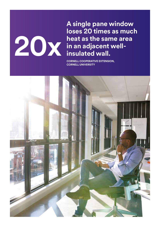#### **A single pane window loses 20 times as much heat as the same area in an adjacent wellinsulated wall.**

**CORNELL COOPERATIVE EXTENSION, CORNELL UNIVERSITY**

**20x**

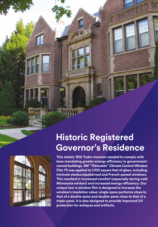

#### **Historic Registered Governor's Residence**

**This stately 1912 Tudor mansion needed to comply with laws mandating greater energy efficiency in governmentowned buildings. 3M™ Thinsulate™ Climate Control Window Film 75 was applied to 1,100 square feet of glass, including intricate starburstpatterned and French-paned windows. This resulted in increased comfort (especially during cold Minnesota winters) and increased energy efficiency. Our unique low-e window film is designed to increase the window's insulation value; single-pane performs close to that of a double-pane and double-pane close to that of a triple-pane. It is also designed to provide improved UV protection for antiques and artifacts.**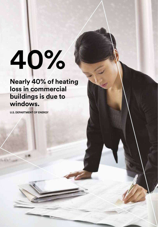# **40%**

**Nearly 40% of heating loss in commercial buildings is due to windows.**

**U.S. DEPARTMENT OF ENERGY**